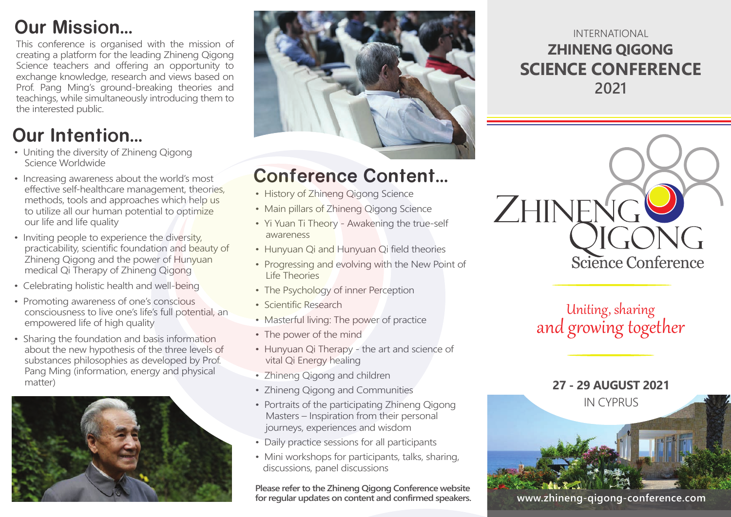# **Our Mission...**

This conference is organised with the mission of creating a platform for the leading Zhineng Qigong Science teachers and offering an opportunity to exchange knowledge, research and views based on Prof. Pang Ming's ground-breaking theories and teachings, while simultaneously introducing them to the interested public.

# **Our Intention...**

- Uniting the diversity of Zhineng Qigong Science Worldwide
- Increasing awareness about the world's most effective self-healthcare management, theories, methods, tools and approaches which help us to utilize all our human potential to optimize our life and life quality
- Inviting people to experience the diversity, practicability, scientific foundation and beauty of Zhineng Qigong and the power of Hunyuan medical Qi Therapy of Zhineng Qigong
- Celebrating holistic health and well-being
- Promoting awareness of one's conscious consciousness to live one's life's full potential, an empowered life of high quality
- Sharing the foundation and basis information about the new hypothesis of the three levels of substances philosophies as developed by Prof. Pang Ming (information, energy and physical matter)





# **Conference Content...**

- History of Zhineng Qigong Science
- Main pillars of Zhineng Qigong Science
- Yi Yuan Ti Theory Awakening the true-self awareness
- Hunyuan Qi and Hunyuan Qi field theories
- Progressing and evolving with the New Point of Life Theories
- The Psychology of inner Perception
- Scientific Research
- Masterful living: The power of practice
- The power of the mind
- Hunyuan Qi Therapy the art and science of vital Qi Energy healing
- Zhineng Qigong and children
- Zhineng Qigong and Communities
- Portraits of the participating Zhineng Qigong Masters – Inspiration from their personal journeys, experiences and wisdom
- Daily practice sessions for all participants
- Mini workshops for participants, talks, sharing, discussions, panel discussions

**Please refer to the Zhineng Qigong Conference website for regular updates on content and confirmed speakers.** 

### INTERNATIONAL **ZHINENG QIGONG SCIENCE CONFERENCE 2021**



## Uniting, sharing and growing together



**www.zhineng-qigong-conference.com**